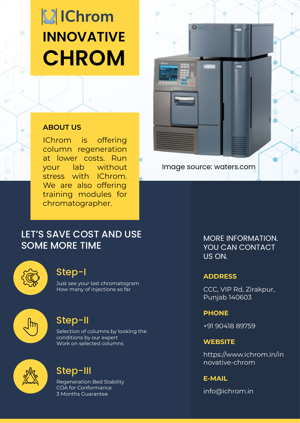# **VIChrom INNOVATIVE CHROM**

#### **ABOUT US**

IChrom is offering column regeneration at lower costs. Run your lab without stress with IChrom. We are also offering training modules for chromatographer.

### LET'S SAVE COST AND USE SOME MORE TIME



#### Step-I

Just see your last chromatogram How many of injections so far



### Step-II

Selection of columns by looking the conditions by our expert Work on selected columns



### Step-III

Regeneration Bed Stability COA for Conformance 3 Months Guarantee



Image source: waters.com

MORE INFORMATION. YOU CAN CONTACT US ON.

#### **ADDRESS**

CCC, VIP Rd, Zirakpur, Punjab 140603

#### **PHONE**

+91 90418 89759

#### **WEBSITE**

https://www.ichrom.in/in novative-chrom

#### **E-MAIL**

info@ichrom.in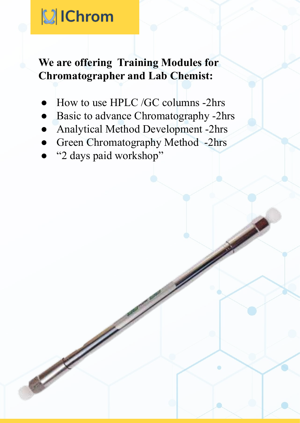# **VIChrom**

## **We are offering Training Modules for Chromatographer and Lab Chemist:**

- How to use HPLC /GC columns -2hrs
- Basic to advance Chromatography -2hrs
- Analytical Method Development -2hrs
- Green Chromatography Method -2hrs
- "2 days paid workshop"